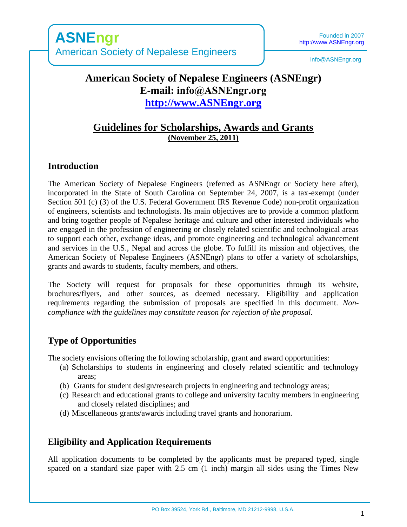info@ASNEngr.org

# **American Society of Nepalese Engineers (ASNEngr) E-mail: info@ASNEngr.org [http://www.ASNEngr.org](http://www.asnengr.org/)**

# **Guidelines for Scholarships, Awards and Grants (November 25, 2011)**

# **Introduction**

The American Society of Nepalese Engineers (referred as ASNEngr or Society here after), incorporated in the State of South Carolina on September 24, 2007, is a tax-exempt (under Section 501 (c) (3) of the U.S. Federal Government IRS Revenue Code) non-profit organization of engineers, scientists and technologists. Its main objectives are to provide a common platform and bring together people of Nepalese heritage and culture and other interested individuals who are engaged in the profession of engineering or closely related scientific and technological areas to support each other, exchange ideas, and promote engineering and technological advancement and services in the U.S., Nepal and across the globe. To fulfill its mission and objectives, the American Society of Nepalese Engineers (ASNEngr) plans to offer a variety of scholarships, grants and awards to students, faculty members, and others.

The Society will request for proposals for these opportunities through its website, brochures/flyers, and other sources, as deemed necessary. Eligibility and application requirements regarding the submission of proposals are specified in this document. *Noncompliance with the guidelines may constitute reason for rejection of the proposal.* 

# **Type of Opportunities**

The society envisions offering the following scholarship, grant and award opportunities:

- (a) Scholarships to students in engineering and closely related scientific and technology areas;
- (b) Grants for student design/research projects in engineering and technology areas;
- (c) Research and educational grants to college and university faculty members in engineering and closely related disciplines; and
- (d) Miscellaneous grants/awards including travel grants and honorarium.

# **Eligibility and Application Requirements**

All application documents to be completed by the applicants must be prepared typed, single spaced on a standard size paper with 2.5 cm (1 inch) margin all sides using the Times New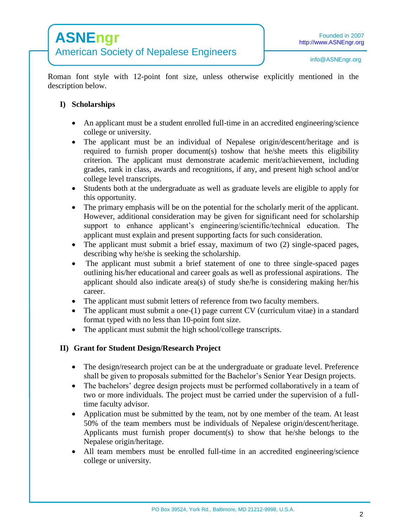Roman font style with 12-point font size, unless otherwise explicitly mentioned in the description below.

## **I) Scholarships**

- An applicant must be a student enrolled full-time in an accredited engineering/science college or university.
- The applicant must be an individual of Nepalese origin/descent/heritage and is required to furnish proper document(s) toshow that he/she meets this eligibility criterion. The applicant must demonstrate academic merit/achievement, including grades, rank in class, awards and recognitions, if any, and present high school and/or college level transcripts.
- Students both at the undergraduate as well as graduate levels are eligible to apply for this opportunity.
- The primary emphasis will be on the potential for the scholarly merit of the applicant. However, additional consideration may be given for significant need for scholarship support to enhance applicant's engineering/scientific/technical education. The applicant must explain and present supporting facts for such consideration.
- The applicant must submit a brief essay, maximum of two (2) single-spaced pages, describing why he/she is seeking the scholarship.
- The applicant must submit a brief statement of one to three single-spaced pages outlining his/her educational and career goals as well as professional aspirations. The applicant should also indicate area(s) of study she/he is considering making her/his career.
- The applicant must submit letters of reference from two faculty members.
- The applicant must submit a one-(1) page current CV (curriculum vitae) in a standard format typed with no less than 10-point font size.
- The applicant must submit the high school/college transcripts.

## **II) Grant for Student Design/Research Project**

- The design/research project can be at the undergraduate or graduate level. Preference shall be given to proposals submitted for the Bachelor's Senior Year Design projects.
- The bachelors' degree design projects must be performed collaboratively in a team of two or more individuals. The project must be carried under the supervision of a fulltime faculty advisor.
- Application must be submitted by the team, not by one member of the team. At least 50% of the team members must be individuals of Nepalese origin/descent/heritage. Applicants must furnish proper document(s) to show that he/she belongs to the Nepalese origin/heritage.
- All team members must be enrolled full-time in an accredited engineering/science college or university.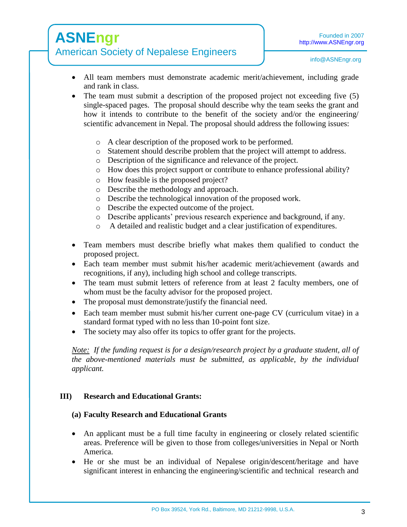# **ASNEngr** American Society of Nepalese Engineers

- All team members must demonstrate academic merit/achievement, including grade and rank in class.
- The team must submit a description of the proposed project not exceeding five (5) single-spaced pages. The proposal should describe why the team seeks the grant and how it intends to contribute to the benefit of the society and/or the engineering/ scientific advancement in Nepal. The proposal should address the following issues:
	- o A clear description of the proposed work to be performed.
	- o Statement should describe problem that the project will attempt to address.
	- o Description of the significance and relevance of the project.
	- o How does this project support or contribute to enhance professional ability?
	- o How feasible is the proposed project?
	- o Describe the methodology and approach.
	- o Describe the technological innovation of the proposed work.
	- o Describe the expected outcome of the project.
	- o Describe applicants' previous research experience and background, if any.
	- o A detailed and realistic budget and a clear justification of expenditures.
- Team members must describe briefly what makes them qualified to conduct the proposed project.
- Each team member must submit his/her academic merit/achievement (awards and recognitions, if any), including high school and college transcripts.
- The team must submit letters of reference from at least 2 faculty members, one of whom must be the faculty advisor for the proposed project.
- The proposal must demonstrate/justify the financial need.
- Each team member must submit his/her current one-page CV (curriculum vitae) in a standard format typed with no less than 10-point font size.
- The society may also offer its topics to offer grant for the projects.

*Note: If the funding request is for a design/research project by a graduate student, all of the above-mentioned materials must be submitted, as applicable, by the individual applicant.* 

### **III) Research and Educational Grants:**

### **(a) Faculty Research and Educational Grants**

- An applicant must be a full time faculty in engineering or closely related scientific areas. Preference will be given to those from colleges/universities in Nepal or North America.
- He or she must be an individual of Nepalese origin/descent/heritage and have significant interest in enhancing the engineering/scientific and technical research and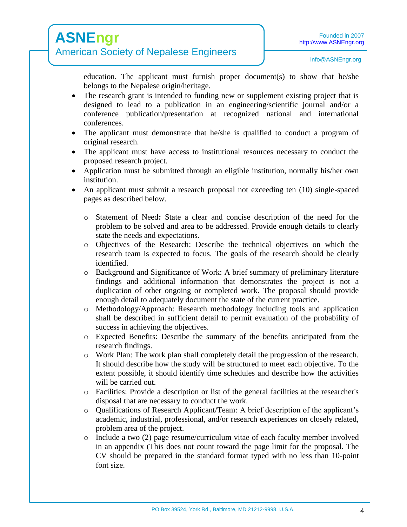# **ASNEngr** American Society of Nepalese Engineers

education. The applicant must furnish proper document(s) to show that he/she belongs to the Nepalese origin/heritage.

- The research grant is intended to funding new or supplement existing project that is designed to lead to a publication in an engineering/scientific journal and/or a conference publication/presentation at recognized national and international conferences.
- The applicant must demonstrate that he/she is qualified to conduct a program of original research.
- The applicant must have access to institutional resources necessary to conduct the proposed research project.
- Application must be submitted through an eligible institution, normally his/her own institution.
- An applicant must submit a research proposal not exceeding ten (10) single-spaced pages as described below.
	- o Statement of Need**:** State a clear and concise description of the need for the problem to be solved and area to be addressed. Provide enough details to clearly state the needs and expectations.
	- o Objectives of the Research: Describe the technical objectives on which the research team is expected to focus. The goals of the research should be clearly identified.
	- o Background and Significance of Work: A brief summary of preliminary literature findings and additional information that demonstrates the project is not a duplication of other ongoing or completed work. The proposal should provide enough detail to adequately document the state of the current practice.
	- o Methodology/Approach: Research methodology including tools and application shall be described in sufficient detail to permit evaluation of the probability of success in achieving the objectives.
	- o Expected Benefits: Describe the summary of the benefits anticipated from the research findings.
	- o Work Plan: The work plan shall completely detail the progression of the research. It should describe how the study will be structured to meet each objective. To the extent possible, it should identify time schedules and describe how the activities will be carried out.
	- o Facilities: Provide a description or list of the general facilities at the researcher's disposal that are necessary to conduct the work.
	- o Qualifications of Research Applicant/Team: A brief description of the applicant's academic, industrial, professional, and/or research experiences on closely related, problem area of the project.
	- $\circ$  Include a two (2) page resume/curriculum vitae of each faculty member involved in an appendix (This does not count toward the page limit for the proposal. The CV should be prepared in the standard format typed with no less than 10-point font size.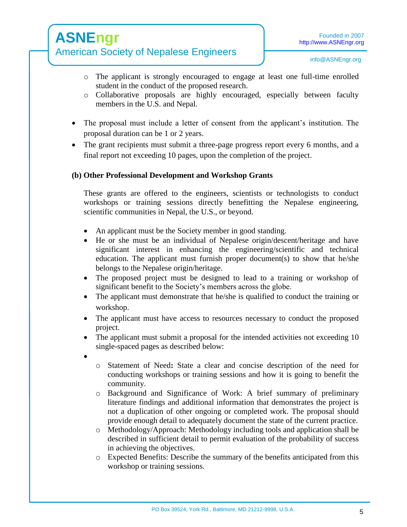# **ASNEngr**

- American Society of Nepalese Engineers
	- o The applicant is strongly encouraged to engage at least one full-time enrolled student in the conduct of the proposed research.
	- o Collaborative proposals are highly encouraged, especially between faculty members in the U.S. and Nepal.
	- The proposal must include a letter of consent from the applicant's institution. The proposal duration can be 1 or 2 years.
	- The grant recipients must submit a three-page progress report every 6 months, and a final report not exceeding 10 pages, upon the completion of the project.

# **(b) Other Professional Development and Workshop Grants**

These grants are offered to the engineers, scientists or technologists to conduct workshops or training sessions directly benefitting the Nepalese engineering, scientific communities in Nepal, the U.S., or beyond.

- An applicant must be the Society member in good standing.
- He or she must be an individual of Nepalese origin/descent/heritage and have significant interest in enhancing the engineering/scientific and technical education. The applicant must furnish proper document(s) to show that he/she belongs to the Nepalese origin/heritage.
- The proposed project must be designed to lead to a training or workshop of significant benefit to the Society's members across the globe.
- The applicant must demonstrate that he/she is qualified to conduct the training or workshop.
- The applicant must have access to resources necessary to conduct the proposed project.
- The applicant must submit a proposal for the intended activities not exceeding 10 single-spaced pages as described below:
- $\bullet$
- o Statement of Need**:** State a clear and concise description of the need for conducting workshops or training sessions and how it is going to benefit the community.
- o Background and Significance of Work: A brief summary of preliminary literature findings and additional information that demonstrates the project is not a duplication of other ongoing or completed work. The proposal should provide enough detail to adequately document the state of the current practice.
- o Methodology/Approach: Methodology including tools and application shall be described in sufficient detail to permit evaluation of the probability of success in achieving the objectives.
- o Expected Benefits: Describe the summary of the benefits anticipated from this workshop or training sessions.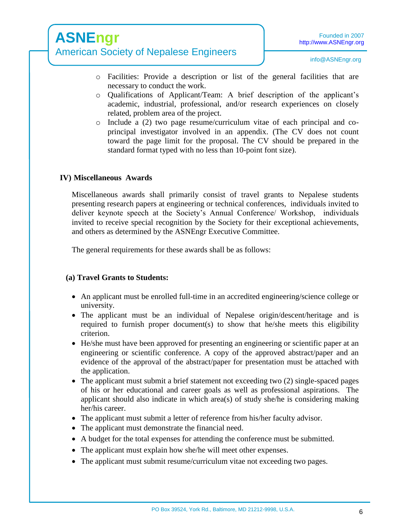# American Society of Nepalese Engineers

info@ASNEngr.org

- o Facilities: Provide a description or list of the general facilities that are necessary to conduct the work.
- o Qualifications of Applicant/Team: A brief description of the applicant's academic, industrial, professional, and/or research experiences on closely related, problem area of the project.
- o Include a (2) two page resume/curriculum vitae of each principal and coprincipal investigator involved in an appendix. (The CV does not count toward the page limit for the proposal. The CV should be prepared in the standard format typed with no less than 10-point font size).

## **IV) Miscellaneous Awards**

Miscellaneous awards shall primarily consist of travel grants to Nepalese students presenting research papers at engineering or technical conferences, individuals invited to deliver keynote speech at the Society's Annual Conference/ Workshop, individuals invited to receive special recognition by the Society for their exceptional achievements, and others as determined by the ASNEngr Executive Committee.

The general requirements for these awards shall be as follows:

## **(a) Travel Grants to Students:**

- An applicant must be enrolled full-time in an accredited engineering/science college or university.
- The applicant must be an individual of Nepalese origin/descent/heritage and is required to furnish proper document(s) to show that he/she meets this eligibility criterion.
- He/she must have been approved for presenting an engineering or scientific paper at an engineering or scientific conference. A copy of the approved abstract/paper and an evidence of the approval of the abstract/paper for presentation must be attached with the application.
- The applicant must submit a brief statement not exceeding two (2) single-spaced pages of his or her educational and career goals as well as professional aspirations. The applicant should also indicate in which area(s) of study she/he is considering making her/his career.
- The applicant must submit a letter of reference from his/her faculty advisor.
- The applicant must demonstrate the financial need.
- A budget for the total expenses for attending the conference must be submitted.
- The applicant must explain how she/he will meet other expenses.
- The applicant must submit resume/curriculum vitae not exceeding two pages.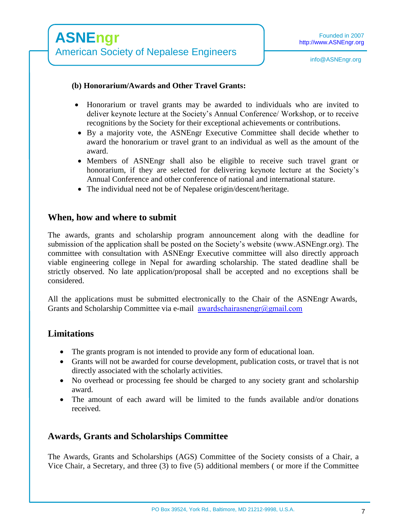### **(b) Honorarium/Awards and Other Travel Grants:**

- Honorarium or travel grants may be awarded to individuals who are invited to deliver keynote lecture at the Society's Annual Conference/ Workshop, or to receive recognitions by the Society for their exceptional achievements or contributions.
- By a majority vote, the ASNEngr Executive Committee shall decide whether to award the honorarium or travel grant to an individual as well as the amount of the award.
- Members of ASNEngr shall also be eligible to receive such travel grant or honorarium, if they are selected for delivering keynote lecture at the Society's Annual Conference and other conference of national and international stature.
- The individual need not be of Nepalese origin/descent/heritage.

## **When, how and where to submit**

The awards, grants and scholarship program announcement along with the deadline for submission of the application shall be posted on the Society's website (www.ASNEngr.org). The committee with consultation with ASNEngr Executive committee will also directly approach viable engineering college in Nepal for awarding scholarship. The stated deadline shall be strictly observed. No late application/proposal shall be accepted and no exceptions shall be considered.

All the applications must be submitted electronically to the Chair of the ASNEngr Awards, Grants and Scholarship Committee via e-mail [awardschairasneng](mailto:info@asnengr.com)r@gmail.com

# **Limitations**

- The grants program is not intended to provide any form of educational loan.
- Grants will not be awarded for course development, publication costs, or travel that is not directly associated with the scholarly activities.
- No overhead or processing fee should be charged to any society grant and scholarship award.
- The amount of each award will be limited to the funds available and/or donations received.

# **Awards, Grants and Scholarships Committee**

The Awards, Grants and Scholarships (AGS) Committee of the Society consists of a Chair, a Vice Chair, a Secretary, and three (3) to five (5) additional members ( or more if the Committee